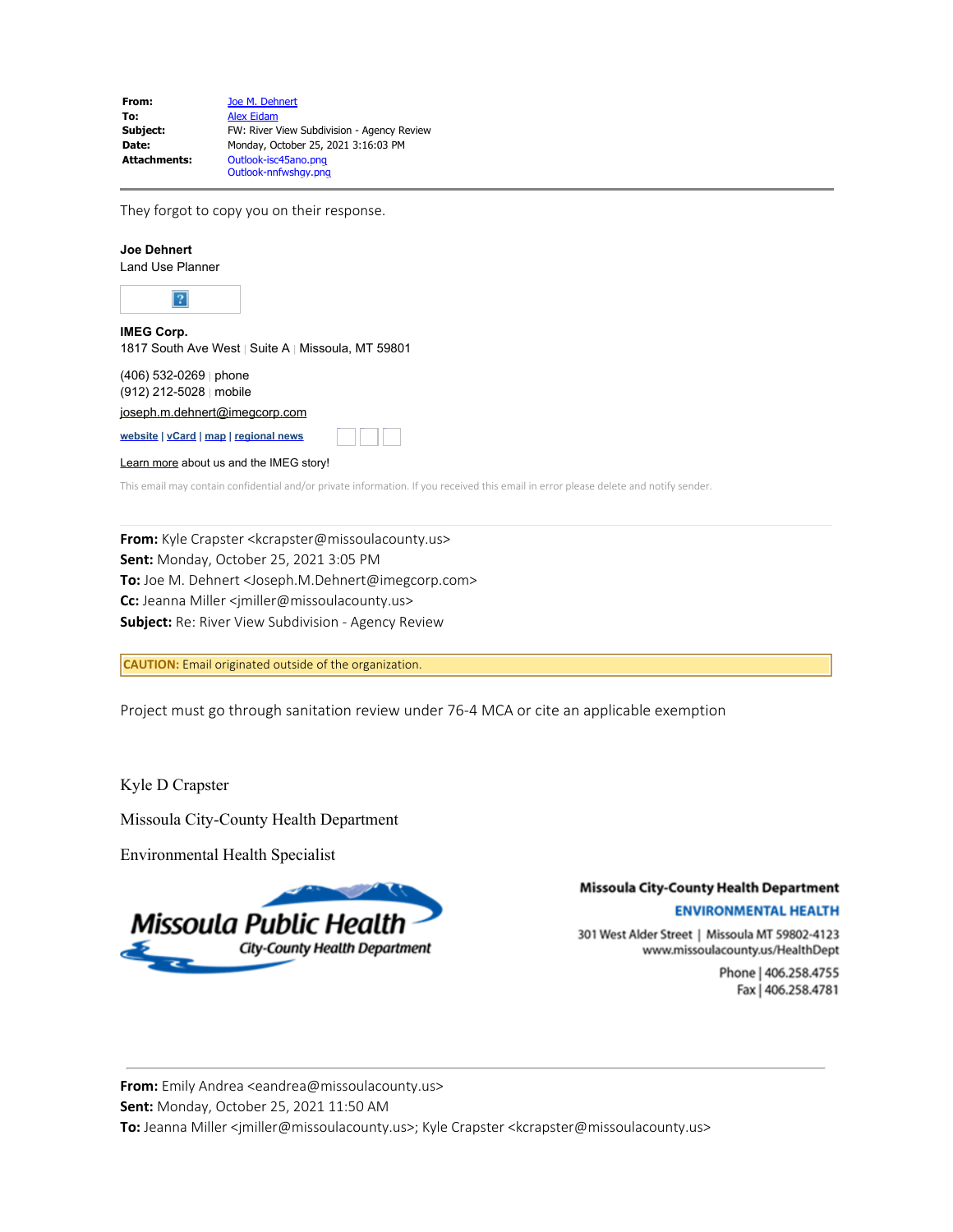| From:               | Joe M. Dehnert                             |
|---------------------|--------------------------------------------|
| To:                 | <b>Alex Eidam</b>                          |
| Subject:            | FW: River View Subdivision - Agency Review |
| Date:               | Monday, October 25, 2021 3:16:03 PM        |
| <b>Attachments:</b> | Outlook-isc45ano.png                       |
|                     | Outlook-nnfwshay.png                       |

They forgot to copy you on their response.

# **Joe Dehnert** Land Use Planner  $\boldsymbol{?}$ **IMEG Corp.** 1817 South Ave West | Suite A | Missoula, MT 59801 (406) 532-0269 | phone (912) 212-5028 | mobile [joseph.m.dehnert@imegcorp.com](mailto:joseph.m.dehnert@imegcorp.com) **[website](https://www.imegcorp.com/) | [vCard](https://dynasend.com/signatures/vcard/joseph.m.dehnert-at-imegcorp.com.vcf) | [map](https://www.google.com/maps/place/1817+South+Ave+W,+Missoula,+MT+59801/@46.8480356,-114.0272793,17z/data=!3m1!4b1!4m5!3m4!1s0x535dcdf29ff2db53:0x9cb98fb330b7c9bf!8m2!3d46.8480356!4d-114.0250906?hl=en) | [regional news](https://www.imegcorp.com/location/upper-mountain-state-region/)** Twitter Facebook LinkedIn [Learn more](https://www.imegcorp.com/about/our-story/) about us and the IMEG story!

This email may contain confidential and/or private information. If you received this email in error please delete and notify sender.

**From:** Kyle Crapster <kcrapster@missoulacounty.us> **Sent:** Monday, October 25, 2021 3:05 PM **To:** Joe M. Dehnert <Joseph.M.Dehnert@imegcorp.com> **Cc:** Jeanna Miller <jmiller@missoulacounty.us> **Subject:** Re: River View Subdivision - Agency Review

**CAUTION:** Email originated outside of the organization.

Project must go through sanitation review under 76-4 MCA or cite an applicable exemption

Kyle D Crapster

Missoula City-County Health Department

Environmental Health Specialist



## **Missoula City-County Health Department**

#### **ENVIRONMENTAL HEALTH**

301 West Alder Street | Missoula MT 59802-4123 www.missoulacounty.us/HealthDept

> Phone | 406.258.4755 Fax | 406.258.4781

**From:** Emily Andrea <eandrea@missoulacounty.us> **Sent:** Monday, October 25, 2021 11:50 AM To: Jeanna Miller <jmiller@missoulacounty.us>; Kyle Crapster <kcrapster@missoulacounty.us>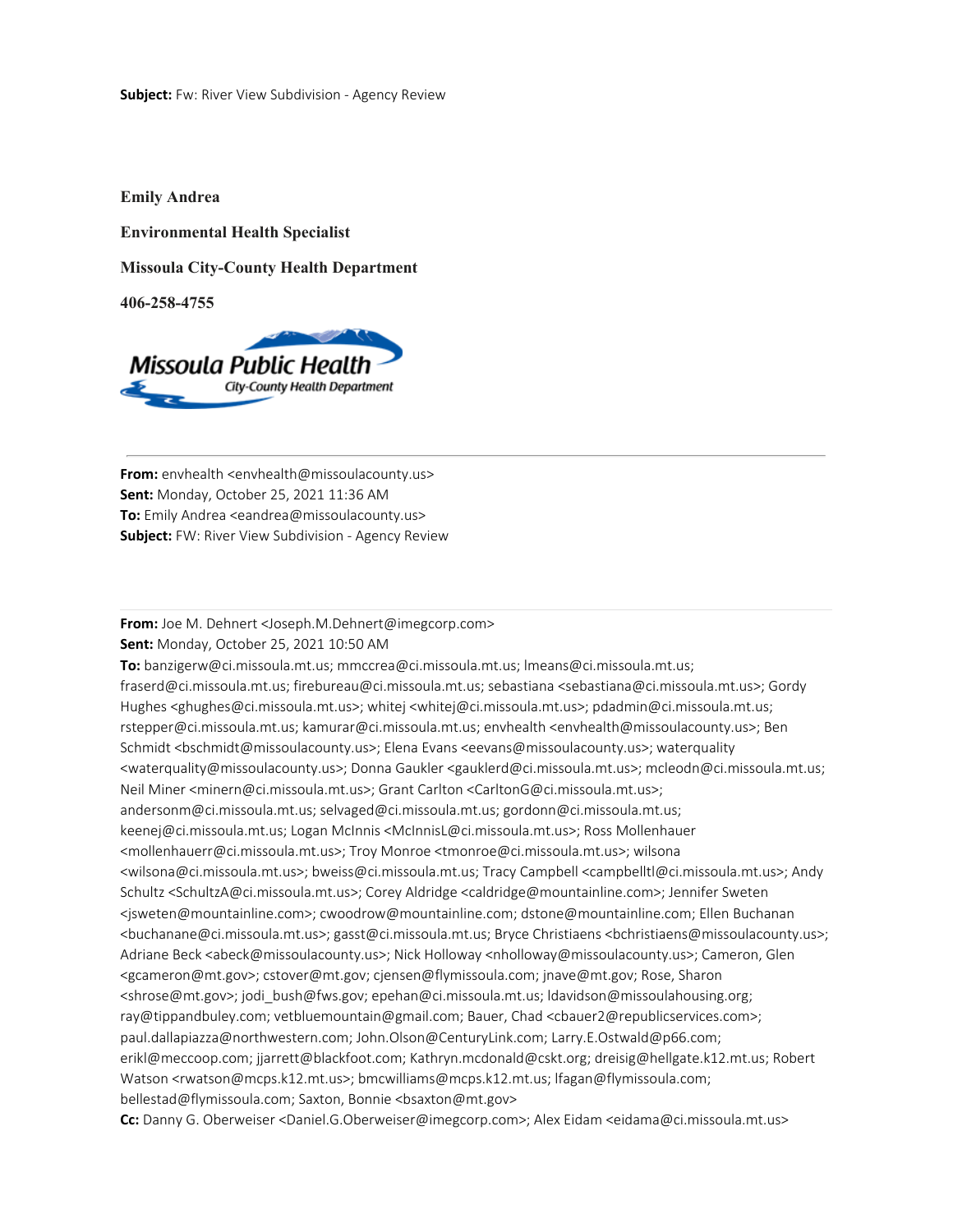**Emily Andrea**

**Environmental Health Specialist**

**Missoula City-County Health Department**

**406-258-4755**



**From:** envhealth <envhealth@missoulacounty.us> **Sent:** Monday, October 25, 2021 11:36 AM **To:** Emily Andrea <eandrea@missoulacounty.us> **Subject:** FW: River View Subdivision - Agency Review

## **From:** Joe M. Dehnert <Joseph.M.Dehnert@imegcorp.com>

**Sent:** Monday, October 25, 2021 10:50 AM

**To:** banzigerw@ci.missoula.mt.us; mmccrea@ci.missoula.mt.us; lmeans@ci.missoula.mt.us; fraserd@ci.missoula.mt.us; firebureau@ci.missoula.mt.us; sebastiana <sebastiana@ci.missoula.mt.us>; Gordy Hughes <ghughes@ci.missoula.mt.us>; whitej <whitej@ci.missoula.mt.us>; pdadmin@ci.missoula.mt.us; rstepper@ci.missoula.mt.us; kamurar@ci.missoula.mt.us; envhealth <envhealth@missoulacounty.us>; Ben Schmidt <bschmidt@missoulacounty.us>; Elena Evans <eevans@missoulacounty.us>; waterquality <waterquality@missoulacounty.us>; Donna Gaukler <gauklerd@ci.missoula.mt.us>; mcleodn@ci.missoula.mt.us; Neil Miner <minern@ci.missoula.mt.us>; Grant Carlton <CarltonG@ci.missoula.mt.us>; andersonm@ci.missoula.mt.us; selvaged@ci.missoula.mt.us; gordonn@ci.missoula.mt.us; keenej@ci.missoula.mt.us; Logan McInnis <McInnisL@ci.missoula.mt.us>; Ross Mollenhauer <mollenhauerr@ci.missoula.mt.us>; Troy Monroe <tmonroe@ci.missoula.mt.us>; wilsona <wilsona@ci.missoula.mt.us>; bweiss@ci.missoula.mt.us; Tracy Campbell <campbelltl@ci.missoula.mt.us>; Andy Schultz <SchultzA@ci.missoula.mt.us>; Corey Aldridge <caldridge@mountainline.com>; Jennifer Sweten <jsweten@mountainline.com>; cwoodrow@mountainline.com; dstone@mountainline.com; Ellen Buchanan <buchanane@ci.missoula.mt.us>; gasst@ci.missoula.mt.us; Bryce Christiaens <bchristiaens@missoulacounty.us>; Adriane Beck <abeck@missoulacounty.us>; Nick Holloway <nholloway@missoulacounty.us>; Cameron, Glen <gcameron@mt.gov>; cstover@mt.gov; cjensen@flymissoula.com; jnave@mt.gov; Rose, Sharon <shrose@mt.gov>; jodi\_bush@fws.gov; epehan@ci.missoula.mt.us; ldavidson@missoulahousing.org; ray@tippandbuley.com; vetbluemountain@gmail.com; Bauer, Chad <cbauer2@republicservices.com>; paul.dallapiazza@northwestern.com; John.Olson@CenturyLink.com; Larry.E.Ostwald@p66.com; erikl@meccoop.com; jjarrett@blackfoot.com; Kathryn.mcdonald@cskt.org; dreisig@hellgate.k12.mt.us; Robert Watson <rwatson@mcps.k12.mt.us>; bmcwilliams@mcps.k12.mt.us; lfagan@flymissoula.com; bellestad@flymissoula.com; Saxton, Bonnie <br />bsaxton@mt.gov> **Cc:** Danny G. Oberweiser <Daniel.G.Oberweiser@imegcorp.com>; Alex Eidam <eidama@ci.missoula.mt.us>